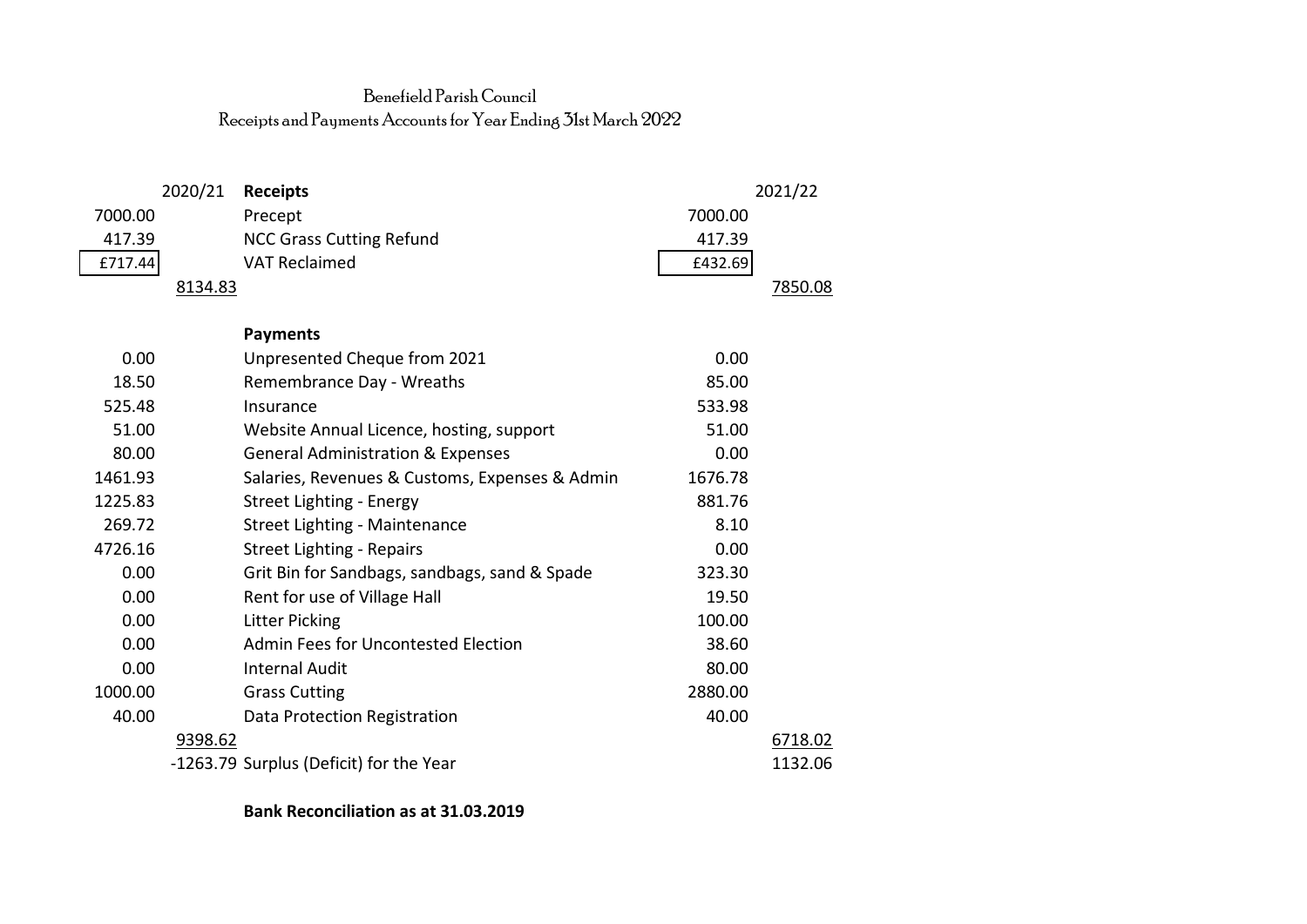## Benefield Parish Council Receipts and Payments Accounts for Year Ending 31st March 2022

|         | 2020/21 | <b>Receipts</b>                                |         | 2021/22 |
|---------|---------|------------------------------------------------|---------|---------|
| 7000.00 |         | Precept                                        | 7000.00 |         |
| 417.39  |         | <b>NCC Grass Cutting Refund</b>                | 417.39  |         |
| £717.44 |         | <b>VAT Reclaimed</b>                           | £432.69 |         |
|         | 8134.83 |                                                |         | 7850.08 |
|         |         |                                                |         |         |
|         |         | <b>Payments</b>                                |         |         |
| 0.00    |         | Unpresented Cheque from 2021                   | 0.00    |         |
| 18.50   |         | Remembrance Day - Wreaths                      | 85.00   |         |
| 525.48  |         | Insurance                                      | 533.98  |         |
| 51.00   |         | Website Annual Licence, hosting, support       | 51.00   |         |
| 80.00   |         | <b>General Administration &amp; Expenses</b>   | 0.00    |         |
| 1461.93 |         | Salaries, Revenues & Customs, Expenses & Admin | 1676.78 |         |
| 1225.83 |         | Street Lighting - Energy                       | 881.76  |         |
| 269.72  |         | Street Lighting - Maintenance                  | 8.10    |         |
| 4726.16 |         | <b>Street Lighting - Repairs</b>               | 0.00    |         |
| 0.00    |         | Grit Bin for Sandbags, sandbags, sand & Spade  | 323.30  |         |
| 0.00    |         | Rent for use of Village Hall                   | 19.50   |         |
| 0.00    |         | <b>Litter Picking</b>                          | 100.00  |         |
| 0.00    |         | Admin Fees for Uncontested Election            | 38.60   |         |
| 0.00    |         | <b>Internal Audit</b>                          | 80.00   |         |
| 1000.00 |         | <b>Grass Cutting</b>                           | 2880.00 |         |
| 40.00   |         | Data Protection Registration                   | 40.00   |         |
|         | 9398.62 |                                                |         | 6718.02 |
|         |         | -1263.79 Surplus (Deficit) for the Year        |         | 1132.06 |

**Bank Reconciliation as at 31.03.2019**